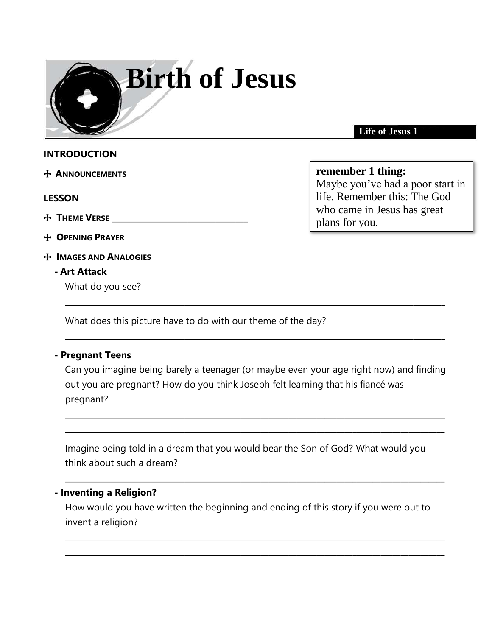

**Life of Jesus 1**

## **INTRODUCTION**

+ **ANNOUNCEMENTS** 

#### **LESSON**

- + **THEME VERSE** \_\_\_\_\_\_\_\_\_\_\_\_\_\_\_\_\_\_\_\_\_\_\_\_\_\_\_\_\_\_\_\_\_\_
- + **OPENING PRAYER**
- + **IMAGES AND ANALOGIES**

### **- Art Attack**

What do you see?

What does this picture have to do with our theme of the day?

### **- Pregnant Teens**

Can you imagine being barely a teenager (or maybe even your age right now) and finding out you are pregnant? How do you think Joseph felt learning that his fiancé was pregnant?

\_\_\_\_\_\_\_\_\_\_\_\_\_\_\_\_\_\_\_\_\_\_\_\_\_\_\_\_\_\_\_\_\_\_\_\_\_\_\_\_\_\_\_\_\_\_\_\_\_\_\_\_\_\_\_\_\_\_\_\_\_\_\_\_\_\_\_\_\_\_\_\_\_\_\_\_\_\_\_\_\_\_\_\_\_\_\_\_\_\_\_\_\_\_\_ \_\_\_\_\_\_\_\_\_\_\_\_\_\_\_\_\_\_\_\_\_\_\_\_\_\_\_\_\_\_\_\_\_\_\_\_\_\_\_\_\_\_\_\_\_\_\_\_\_\_\_\_\_\_\_\_\_\_\_\_\_\_\_\_\_\_\_\_\_\_\_\_\_\_\_\_\_\_\_\_\_\_\_\_\_\_\_\_\_\_\_\_\_\_\_

\_\_\_\_\_\_\_\_\_\_\_\_\_\_\_\_\_\_\_\_\_\_\_\_\_\_\_\_\_\_\_\_\_\_\_\_\_\_\_\_\_\_\_\_\_\_\_\_\_\_\_\_\_\_\_\_\_\_\_\_\_\_\_\_\_\_\_\_\_\_\_\_\_\_\_\_\_\_\_\_\_\_\_\_\_\_\_\_\_\_\_\_\_\_\_

\_\_\_\_\_\_\_\_\_\_\_\_\_\_\_\_\_\_\_\_\_\_\_\_\_\_\_\_\_\_\_\_\_\_\_\_\_\_\_\_\_\_\_\_\_\_\_\_\_\_\_\_\_\_\_\_\_\_\_\_\_\_\_\_\_\_\_\_\_\_\_\_\_\_\_\_\_\_\_\_\_\_\_\_\_\_\_\_\_\_\_\_\_\_\_

Imagine being told in a dream that you would bear the Son of God? What would you think about such a dream?

\_\_\_\_\_\_\_\_\_\_\_\_\_\_\_\_\_\_\_\_\_\_\_\_\_\_\_\_\_\_\_\_\_\_\_\_\_\_\_\_\_\_\_\_\_\_\_\_\_\_\_\_\_\_\_\_\_\_\_\_\_\_\_\_\_\_\_\_\_\_\_\_\_\_\_\_\_\_\_\_\_\_\_\_\_\_\_\_\_\_\_\_\_\_\_

### **- Inventing a Religion?**

How would you have written the beginning and ending of this story if you were out to invent a religion?

 $\_$  ,  $\_$  ,  $\_$  ,  $\_$  ,  $\_$  ,  $\_$  ,  $\_$  ,  $\_$  ,  $\_$  ,  $\_$  ,  $\_$  ,  $\_$  ,  $\_$  ,  $\_$  ,  $\_$  ,  $\_$  ,  $\_$  ,  $\_$  ,  $\_$  ,  $\_$  ,  $\_$  ,  $\_$  ,  $\_$  ,  $\_$  ,  $\_$  ,  $\_$  ,  $\_$  ,  $\_$  ,  $\_$  ,  $\_$  ,  $\_$  ,  $\_$  ,  $\_$  ,  $\_$  ,  $\_$  ,  $\_$  ,  $\_$  , \_\_\_\_\_\_\_\_\_\_\_\_\_\_\_\_\_\_\_\_\_\_\_\_\_\_\_\_\_\_\_\_\_\_\_\_\_\_\_\_\_\_\_\_\_\_\_\_\_\_\_\_\_\_\_\_\_\_\_\_\_\_\_\_\_\_\_\_\_\_\_\_\_\_\_\_\_\_\_\_\_\_\_\_\_\_\_\_\_\_\_\_\_\_\_

# **remember 1 thing:**

Maybe you've had a poor start in life. Remember this: The God who came in Jesus has great plans for you.